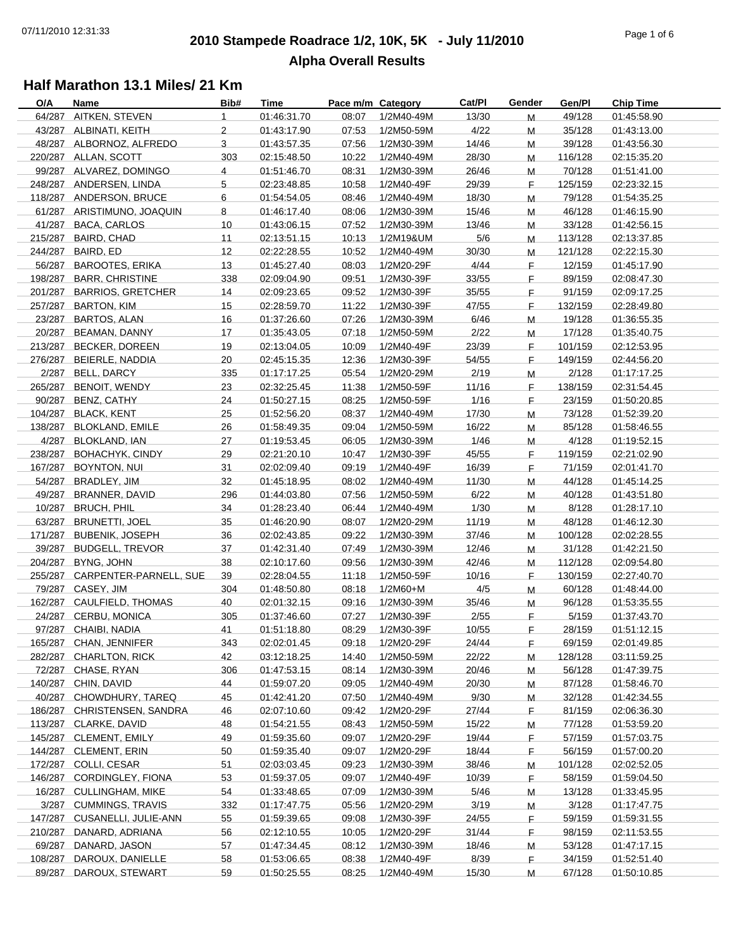## **2010 Stampede Roadrace 1/2, 10K, 5K - July 11/2010** 07/11/2010 12:31:33 Page 1 of 6 **Alpha Overall Results**

| O/A | Name                           | Bib#           | Time        | Pace m/m Category |            | Cat/PI | Gender | Gen/Pl  | <b>Chip Time</b> |
|-----|--------------------------------|----------------|-------------|-------------------|------------|--------|--------|---------|------------------|
|     | 64/287 AITKEN, STEVEN          | $\mathbf{1}$   | 01:46:31.70 | 08:07             | 1/2M40-49M | 13/30  | М      | 49/128  | 01:45:58.90      |
|     | 43/287 ALBINATI, KEITH         | $\overline{2}$ | 01:43:17.90 | 07:53             | 1/2M50-59M | 4/22   | M      | 35/128  | 01:43:13.00      |
|     | 48/287 ALBORNOZ, ALFREDO       | 3              | 01:43:57.35 | 07:56             | 1/2M30-39M | 14/46  | M      | 39/128  | 01:43:56.30      |
|     | 220/287 ALLAN, SCOTT           | 303            | 02:15:48.50 | 10:22             | 1/2M40-49M | 28/30  | M      | 116/128 | 02:15:35.20      |
|     | 99/287 ALVAREZ, DOMINGO        | $\overline{4}$ | 01:51:46.70 | 08:31             | 1/2M30-39M | 26/46  | M      | 70/128  | 01:51:41.00      |
|     | 248/287 ANDERSEN, LINDA        | 5              | 02:23:48.85 | 10:58             | 1/2M40-49F | 29/39  | F.     | 125/159 | 02:23:32.15      |
|     | 118/287 ANDERSON, BRUCE        | 6              | 01:54:54.05 | 08:46             | 1/2M40-49M | 18/30  | M      | 79/128  | 01:54:35.25      |
|     | 61/287 ARISTIMUNO, JOAQUIN     | 8              | 01:46:17.40 | 08:06             | 1/2M30-39M | 15/46  | M      | 46/128  | 01:46:15.90      |
|     | 41/287 BACA, CARLOS            | 10             | 01:43:06.15 | 07:52             | 1/2M30-39M | 13/46  | M      | 33/128  | 01:42:56.15      |
|     | 215/287 BAIRD, CHAD            | 11             | 02:13:51.15 | 10:13             | 1/2M19&UM  | 5/6    | M      | 113/128 | 02:13:37.85      |
|     | 244/287 BAIRD, ED              | 12             | 02:22:28.55 | 10:52             | 1/2M40-49M | 30/30  | M      | 121/128 | 02:22:15.30      |
|     | 56/287 BAROOTES, ERIKA         | 13             | 01:45:27.40 | 08:03             | 1/2M20-29F | 4/44   | F.     | 12/159  | 01:45:17.90      |
|     | 198/287 BARR, CHRISTINE        | 338            | 02:09:04.90 | 09:51             | 1/2M30-39F | 33/55  | F.     | 89/159  | 02:08:47.30      |
|     | 201/287 BARRIOS, GRETCHER      | 14             | 02:09:23.65 | 09:52             | 1/2M30-39F | 35/55  | F.     | 91/159  | 02:09:17.25      |
|     | 257/287 BARTON, KIM            | 15             | 02:28:59.70 | 11:22             | 1/2M30-39F | 47/55  | F.     | 132/159 | 02:28:49.80      |
|     | 23/287 BARTOS, ALAN            | 16             | 01:37:26.60 | 07:26             | 1/2M30-39M | 6/46   | M      | 19/128  | 01:36:55.35      |
|     | 20/287 BEAMAN, DANNY           | 17             | 01:35:43.05 | 07:18             | 1/2M50-59M | 2/22   | м      | 17/128  | 01:35:40.75      |
|     | 213/287 BECKER, DOREEN         | 19             | 02:13:04.05 | 10:09             | 1/2M40-49F | 23/39  | F.     | 101/159 | 02:12:53.95      |
|     | 276/287 BEIERLE, NADDIA        | 20             | 02:45:15.35 | 12:36             | 1/2M30-39F | 54/55  | F.     | 149/159 | 02:44:56.20      |
|     | 2/287 BELL, DARCY              | 335            | 01:17:17.25 | 05:54             | 1/2M20-29M | 2/19   | M      | 2/128   | 01:17:17.25      |
|     | 265/287 BENOIT, WENDY          | 23             | 02:32:25.45 | 11:38             | 1/2M50-59F | 11/16  | F.     | 138/159 | 02:31:54.45      |
|     | 90/287 BENZ, CATHY             | 24             | 01:50:27.15 | 08:25             | 1/2M50-59F | 1/16   | F.     | 23/159  | 01:50:20.85      |
|     | 104/287 BLACK, KENT            | 25             | 01:52:56.20 | 08:37             | 1/2M40-49M | 17/30  | M      | 73/128  | 01:52:39.20      |
|     | 138/287 BLOKLAND, EMILE        | 26             | 01:58:49.35 | 09:04             | 1/2M50-59M | 16/22  | M      | 85/128  | 01:58:46.55      |
|     | 4/287 BLOKLAND, IAN            | 27             | 01:19:53.45 | 06:05             | 1/2M30-39M | 1/46   | м      | 4/128   | 01:19:52.15      |
|     | 238/287 BOHACHYK, CINDY        | 29             | 02:21:20.10 | 10:47             | 1/2M30-39F | 45/55  | F.     | 119/159 | 02:21:02.90      |
|     | 167/287 BOYNTON, NUI           | 31             | 02:02:09.40 | 09:19             | 1/2M40-49F | 16/39  | F.     | 71/159  | 02:01:41.70      |
|     | 54/287 BRADLEY, JIM            | 32             | 01:45:18.95 | 08:02             | 1/2M40-49M | 11/30  | M      | 44/128  | 01:45:14.25      |
|     | 49/287 BRANNER, DAVID          | 296            | 01:44:03.80 | 07:56             | 1/2M50-59M | 6/22   | M      | 40/128  | 01:43:51.80      |
|     | 10/287 BRUCH, PHIL             | 34             | 01:28:23.40 | 06:44             | 1/2M40-49M | 1/30   | M      | 8/128   | 01:28:17.10      |
|     | 63/287 BRUNETTI, JOEL          | 35             | 01:46:20.90 | 08:07             | 1/2M20-29M | 11/19  | M      | 48/128  | 01:46:12.30      |
|     | 171/287 BUBENIK, JOSEPH        | 36             | 02:02:43.85 | 09:22             | 1/2M30-39M | 37/46  | м      | 100/128 | 02:02:28.55      |
|     | 39/287 BUDGELL, TREVOR         | 37             | 01:42:31.40 | 07:49             | 1/2M30-39M | 12/46  | M      | 31/128  | 01:42:21.50      |
|     | 204/287 BYNG, JOHN             | 38             | 02:10:17.60 | 09:56             | 1/2M30-39M | 42/46  | M      | 112/128 | 02:09:54.80      |
|     | 255/287 CARPENTER-PARNELL, SUE | 39             | 02:28:04.55 | 11:18             | 1/2M50-59F | 10/16  | F.     | 130/159 | 02:27:40.70      |
|     | 79/287 CASEY, JIM              | 304            | 01:48:50.80 | 08:18             | 1/2M60+M   | 4/5    | M      | 60/128  | 01:48:44.00      |
|     | 162/287 CAULFIELD, THOMAS      | 40             | 02:01:32.15 | 09:16             | 1/2M30-39M | 35/46  | M      | 96/128  | 01:53:35.55      |
|     | 24/287 CERBU, MONICA           | 305            | 01:37:46.60 | 07:27             | 1/2M30-39F | 2/55   | F.     | 5/159   | 01:37:43.70      |
|     | 97/287 CHAIBI, NADIA           | 41             | 01:51:18.80 | 08:29             | 1/2M30-39F | 10/55  | F.     | 28/159  | 01:51:12.15      |
|     | 165/287 CHAN, JENNIFER         | 343            | 02:02:01.45 | 09:18             | 1/2M20-29F | 24/44  | F.     | 69/159  | 02:01:49.85      |
|     | 282/287 CHARLTON, RICK         | 42             | 03:12:18.25 | 14:40             | 1/2M50-59M | 22/22  | M      | 128/128 | 03:11:59.25      |
|     | 72/287 CHASE, RYAN             | 306            | 01:47:53.15 | 08:14             | 1/2M30-39M | 20/46  | M      | 56/128  | 01:47:39.75      |
|     | 140/287 CHIN, DAVID            | 44             | 01:59:07.20 | 09:05             | 1/2M40-49M | 20/30  | M      | 87/128  | 01:58:46.70      |
|     | 40/287 CHOWDHURY, TAREQ        | 45             | 01:42:41.20 | 07:50             | 1/2M40-49M | 9/30   | M      | 32/128  | 01:42:34.55      |
|     | 186/287 CHRISTENSEN, SANDRA    | 46             | 02:07:10.60 | 09:42             | 1/2M20-29F | 27/44  | F.     | 81/159  | 02:06:36.30      |
|     | 113/287 CLARKE, DAVID          | 48             | 01:54:21.55 | 08:43             | 1/2M50-59M | 15/22  | M      | 77/128  | 01:53:59.20      |
|     | 145/287 CLEMENT, EMILY         | 49             | 01:59:35.60 | 09:07             | 1/2M20-29F | 19/44  | F.     | 57/159  | 01:57:03.75      |
|     | 144/287 CLEMENT, ERIN          | 50             | 01:59:35.40 | 09:07             | 1/2M20-29F | 18/44  | F.     | 56/159  | 01:57:00.20      |
|     | 172/287 COLLI, CESAR           | 51             | 02:03:03.45 | 09:23             | 1/2M30-39M | 38/46  | M      | 101/128 | 02:02:52.05      |
|     | 146/287 CORDINGLEY, FIONA      | 53             | 01:59:37.05 | 09:07             | 1/2M40-49F | 10/39  | F      | 58/159  | 01:59:04.50      |
|     | 16/287 CULLINGHAM, MIKE        | 54             | 01:33:48.65 | 07:09             | 1/2M30-39M | 5/46   | M      | 13/128  | 01:33:45.95      |
|     | 3/287 CUMMINGS, TRAVIS         | 332            | 01:17:47.75 | 05:56             | 1/2M20-29M | 3/19   | М      | 3/128   | 01:17:47.75      |
|     | 147/287 CUSANELLI, JULIE-ANN   | 55             | 01:59:39.65 | 09:08             | 1/2M30-39F | 24/55  | F.     | 59/159  | 01:59:31.55      |
|     | 210/287 DANARD, ADRIANA        | 56             | 02:12:10.55 | 10:05             | 1/2M20-29F | 31/44  | F.     | 98/159  | 02:11:53.55      |
|     | 69/287 DANARD, JASON           | 57             | 01:47:34.45 | 08:12             | 1/2M30-39M | 18/46  | м      | 53/128  | 01:47:17.15      |
|     | 108/287 DAROUX, DANIELLE       | 58             | 01:53:06.65 | 08:38             | 1/2M40-49F | 8/39   | F.     | 34/159  | 01:52:51.40      |
|     | 89/287 DAROUX, STEWART         | 59             | 01:50:25.55 | 08:25             | 1/2M40-49M | 15/30  | M      | 67/128  | 01:50:10.85      |
|     |                                |                |             |                   |            |        |        |         |                  |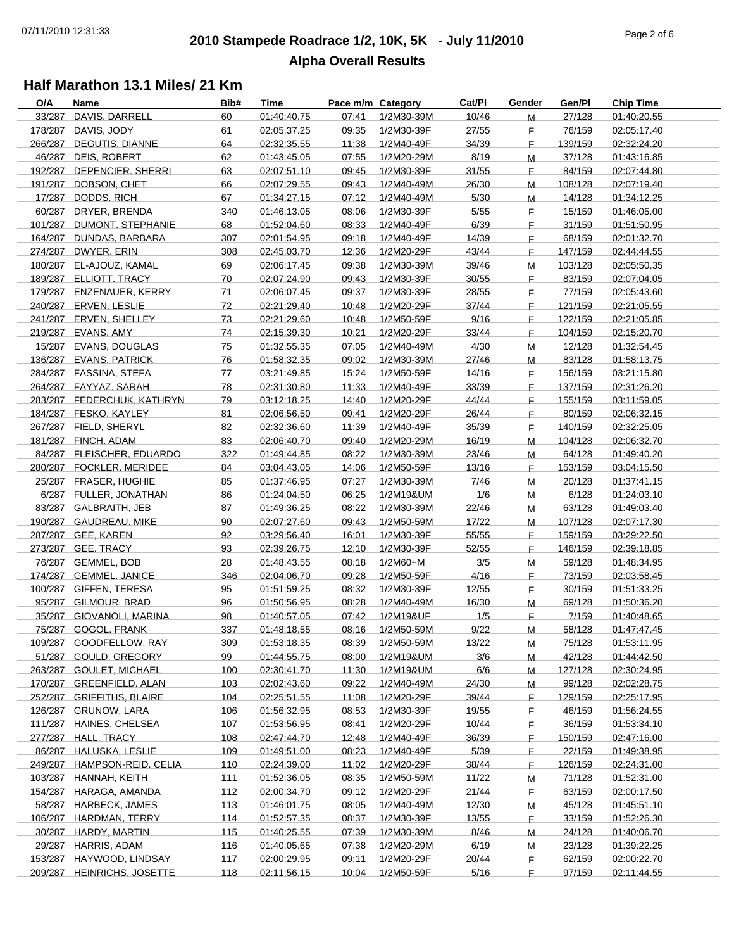## **2010 Stampede Roadrace 1/2, 10K, 5K - July 11/2010** 07/11/2010 12:31:33 Page 2 of 6 **Alpha Overall Results**

| O/A | Name                        | Bib# | Time        | Pace m/m Category |            | Cat/Pl | Gender | Gen/Pl  | <b>Chip Time</b> |
|-----|-----------------------------|------|-------------|-------------------|------------|--------|--------|---------|------------------|
|     | 33/287 DAVIS, DARRELL       | 60   | 01:40:40.75 | 07:41             | 1/2M30-39M | 10/46  | M      | 27/128  | 01:40:20.55      |
|     | 178/287 DAVIS, JODY         | 61   | 02:05:37.25 | 09:35             | 1/2M30-39F | 27/55  | F.     | 76/159  | 02:05:17.40      |
|     | 266/287 DEGUTIS, DIANNE     | 64   | 02:32:35.55 | 11:38             | 1/2M40-49F | 34/39  | F.     | 139/159 | 02:32:24.20      |
|     | 46/287 DEIS, ROBERT         | 62   | 01:43:45.05 | 07:55             | 1/2M20-29M | 8/19   | M      | 37/128  | 01:43:16.85      |
|     | 192/287 DEPENCIER, SHERRI   | 63   | 02:07:51.10 | 09:45             | 1/2M30-39F | 31/55  | F.     | 84/159  | 02:07:44.80      |
|     | 191/287 DOBSON, CHET        | 66   | 02:07:29.55 | 09:43             | 1/2M40-49M | 26/30  |        | 108/128 | 02:07:19.40      |
|     |                             |      |             |                   |            |        | M      |         |                  |
|     | 17/287 DODDS, RICH          | 67   | 01:34:27.15 | 07:12             | 1/2M40-49M | 5/30   | M      | 14/128  | 01:34:12.25      |
|     | 60/287 DRYER, BRENDA        | 340  | 01:46:13.05 | 08:06             | 1/2M30-39F | $5/55$ | F.     | 15/159  | 01:46:05.00      |
|     | 101/287 DUMONT, STEPHANIE   | 68   | 01:52:04.60 | 08:33             | 1/2M40-49F | 6/39   | F.     | 31/159  | 01:51:50.95      |
|     | 164/287 DUNDAS, BARBARA     | 307  | 02:01:54.95 | 09:18             | 1/2M40-49F | 14/39  | F.     | 68/159  | 02:01:32.70      |
|     | 274/287 DWYER, ERIN         | 308  | 02:45:03.70 | 12:36             | 1/2M20-29F | 43/44  | F.     | 147/159 | 02:44:44.55      |
|     | 180/287 EL-AJOUZ, KAMAL     | 69   | 02:06:17.45 | 09:38             | 1/2M30-39M | 39/46  | M      | 103/128 | 02:05:50.35      |
|     | 189/287 ELLIOTT, TRACY      | 70   | 02:07:24.90 | 09:43             | 1/2M30-39F | 30/55  | F.     | 83/159  | 02:07:04.05      |
|     | 179/287 ENZENAUER, KERRY    | 71   | 02:06:07.45 | 09:37             | 1/2M30-39F | 28/55  | F.     | 77/159  | 02:05:43.60      |
|     | 240/287 ERVEN, LESLIE       | 72   | 02:21:29.40 | 10:48             | 1/2M20-29F | 37/44  | F.     | 121/159 | 02:21:05.55      |
|     |                             |      |             |                   |            |        |        |         |                  |
|     | 241/287 ERVEN, SHELLEY      | 73   | 02:21:29.60 | 10:48             | 1/2M50-59F | 9/16   | F.     | 122/159 | 02:21:05.85      |
|     | 219/287 EVANS, AMY          | 74   | 02:15:39.30 | 10:21             | 1/2M20-29F | 33/44  | F.     | 104/159 | 02:15:20.70      |
|     | 15/287 EVANS, DOUGLAS       | 75   | 01:32:55.35 | 07:05             | 1/2M40-49M | 4/30   | M      | 12/128  | 01:32:54.45      |
|     | 136/287 EVANS, PATRICK      | 76   | 01:58:32.35 | 09:02             | 1/2M30-39M | 27/46  | м      | 83/128  | 01:58:13.75      |
|     | 284/287 FASSINA, STEFA      | 77   | 03:21:49.85 | 15:24             | 1/2M50-59F | 14/16  | F.     | 156/159 | 03:21:15.80      |
|     | 264/287 FAYYAZ, SARAH       | 78   | 02:31:30.80 | 11:33             | 1/2M40-49F | 33/39  | F.     | 137/159 | 02:31:26.20      |
|     | 283/287 FEDERCHUK, KATHRYN  | 79   | 03:12:18.25 | 14:40             | 1/2M20-29F | 44/44  | F.     | 155/159 | 03:11:59.05      |
|     | 184/287 FESKO, KAYLEY       | 81   | 02:06:56.50 | 09:41             | 1/2M20-29F | 26/44  | F.     | 80/159  | 02:06:32.15      |
|     | 267/287 FIELD, SHERYL       | 82   | 02:32:36.60 | 11:39             | 1/2M40-49F | 35/39  | F.     | 140/159 | 02:32:25.05      |
|     | 181/287 FINCH, ADAM         | 83   | 02:06:40.70 | 09:40             | 1/2M20-29M | 16/19  | M      | 104/128 | 02:06:32.70      |
|     |                             |      |             |                   |            |        |        |         |                  |
|     | 84/287 FLEISCHER, EDUARDO   | 322  | 01:49:44.85 | 08:22             | 1/2M30-39M | 23/46  | M      | 64/128  | 01:49:40.20      |
|     | 280/287 FOCKLER, MERIDEE    | 84   | 03:04:43.05 | 14:06             | 1/2M50-59F | 13/16  | F.     | 153/159 | 03:04:15.50      |
|     | 25/287 FRASER, HUGHIE       | 85   | 01:37:46.95 | 07:27             | 1/2M30-39M | 7/46   | M      | 20/128  | 01:37:41.15      |
|     | 6/287 FULLER, JONATHAN      | 86   | 01:24:04.50 | 06:25             | 1/2M19&UM  | 1/6    | M      | 6/128   | 01:24:03.10      |
|     | 83/287 GALBRAITH, JEB       | 87   | 01:49:36.25 | 08:22             | 1/2M30-39M | 22/46  | M      | 63/128  | 01:49:03.40      |
|     | 190/287 GAUDREAU, MIKE      | 90   | 02:07:27.60 | 09:43             | 1/2M50-59M | 17/22  | M      | 107/128 | 02:07:17.30      |
|     | 287/287 GEE, KAREN          | 92   | 03:29:56.40 | 16:01             | 1/2M30-39F | 55/55  | F.     | 159/159 | 03:29:22.50      |
|     | 273/287 GEE, TRACY          | 93   | 02:39:26.75 | 12:10             | 1/2M30-39F | 52/55  | F.     | 146/159 | 02:39:18.85      |
|     | 76/287 GEMMEL, BOB          | 28   | 01:48:43.55 | 08:18             | 1/2M60+M   | 3/5    | M      | 59/128  | 01:48:34.95      |
|     | 174/287 GEMMEL, JANICE      | 346  | 02:04:06.70 | 09:28             | 1/2M50-59F | 4/16   |        | 73/159  |                  |
|     |                             |      |             |                   |            |        | F.     |         | 02:03:58.45      |
|     | 100/287 GIFFEN, TERESA      | 95   | 01:51:59.25 | 08:32             | 1/2M30-39F | 12/55  | F.     | 30/159  | 01:51:33.25      |
|     | 95/287 GILMOUR, BRAD        | 96   | 01:50:56.95 | 08:28             | 1/2M40-49M | 16/30  | M      | 69/128  | 01:50:36.20      |
|     | 35/287 GIOVANOLI, MARINA    | 98   | 01:40:57.05 | 07:42             | 1/2M19&UF  | 1/5    | F.     | 7/159   | 01:40:48.65      |
|     | 75/287 GOGOL, FRANK         | 337  | 01:48:18.55 | 08:16             | 1/2M50-59M | 9/22   | M      | 58/128  | 01:47:47.45      |
|     | 109/287 GOODFELLOW, RAY     | 309  | 01:53:18.35 | 08:39             | 1/2M50-59M | 13/22  | M      | 75/128  | 01:53:11.95      |
|     | 51/287 GOULD, GREGORY       | 99   | 01:44:55.75 | 08:00             | 1/2M19&UM  | 3/6    | м      | 42/128  | 01:44:42.50      |
|     | 263/287 GOULET, MICHAEL     | 100  | 02:30:41.70 | 11:30             | 1/2M19&UM  | 6/6    | M      | 127/128 | 02:30:24.95      |
|     | 170/287 GREENFIELD, ALAN    | 103  | 02:02:43.60 | 09:22             | 1/2M40-49M | 24/30  | М      | 99/128  | 02:02:28.75      |
|     | 252/287 GRIFFITHS, BLAIRE   | 104  | 02:25:51.55 | 11:08             | 1/2M20-29F | 39/44  | F      | 129/159 | 02:25:17.95      |
|     | 126/287 GRUNOW, LARA        |      |             |                   |            |        |        |         |                  |
|     |                             | 106  | 01:56:32.95 | 08:53             | 1/2M30-39F | 19/55  | F      | 46/159  | 01:56:24.55      |
|     | 111/287 HAINES, CHELSEA     | 107  | 01:53:56.95 | 08:41             | 1/2M20-29F | 10/44  | F      | 36/159  | 01:53:34.10      |
|     | 277/287 HALL, TRACY         | 108  | 02:47:44.70 | 12:48             | 1/2M40-49F | 36/39  | F.     | 150/159 | 02:47:16.00      |
|     | 86/287 HALUSKA, LESLIE      | 109  | 01:49:51.00 | 08:23             | 1/2M40-49F | 5/39   | F.     | 22/159  | 01:49:38.95      |
|     | 249/287 HAMPSON-REID, CELIA | 110  | 02:24:39.00 | 11:02             | 1/2M20-29F | 38/44  | F.     | 126/159 | 02:24:31.00      |
|     | 103/287 HANNAH, KEITH       | 111  | 01:52:36.05 | 08:35             | 1/2M50-59M | 11/22  | м      | 71/128  | 01:52:31.00      |
|     | 154/287 HARAGA, AMANDA      | 112  | 02:00:34.70 | 09:12             | 1/2M20-29F | 21/44  | F.     | 63/159  | 02:00:17.50      |
|     | 58/287 HARBECK, JAMES       | 113  | 01:46:01.75 | 08:05             | 1/2M40-49M | 12/30  | M      | 45/128  | 01:45:51.10      |
|     | 106/287 HARDMAN, TERRY      | 114  | 01:52:57.35 | 08:37             | 1/2M30-39F | 13/55  | F.     | 33/159  | 01:52:26.30      |
|     | 30/287 HARDY, MARTIN        | 115  | 01:40:25.55 | 07:39             | 1/2M30-39M | 8/46   |        | 24/128  | 01:40:06.70      |
|     |                             |      |             |                   |            |        | M      |         |                  |
|     | 29/287 HARRIS, ADAM         | 116  | 01:40:05.65 | 07:38             | 1/2M20-29M | 6/19   | M      | 23/128  | 01:39:22.25      |
|     | 153/287 HAYWOOD, LINDSAY    | 117  | 02:00:29.95 | 09:11             | 1/2M20-29F | 20/44  | F.     | 62/159  | 02:00:22.70      |
|     | 209/287 HEINRICHS, JOSETTE  | 118  | 02:11:56.15 | 10:04             | 1/2M50-59F | 5/16   | F.     | 97/159  | 02:11:44.55      |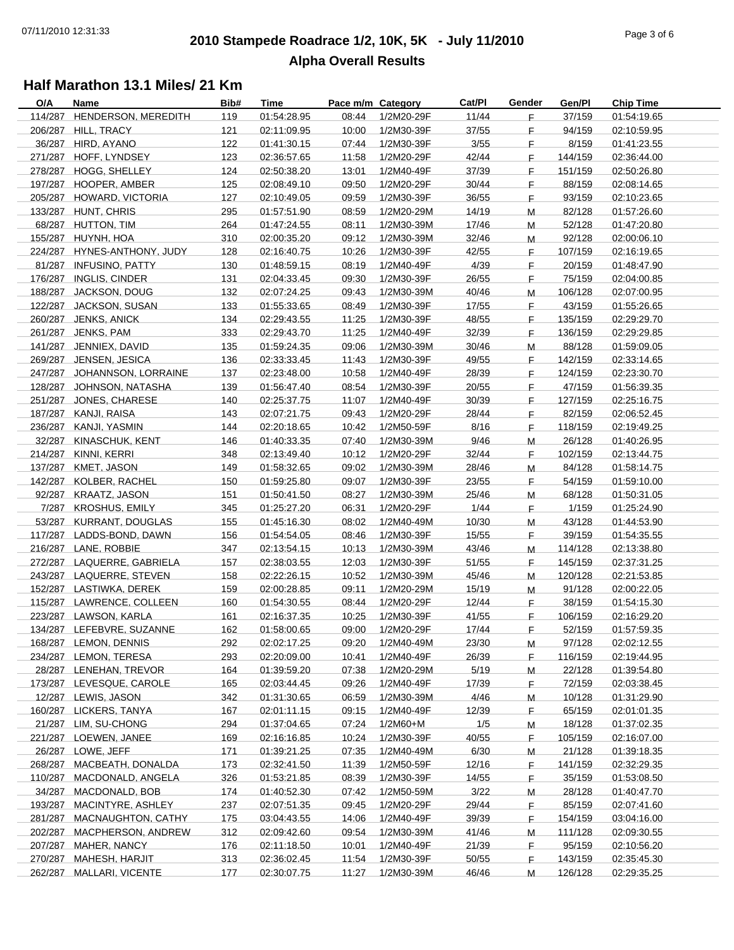## **2010 Stampede Roadrace 1/2, 10K, 5K - July 11/2010** 07/11/2010 12:31:33 Page 3 of 6 **Alpha Overall Results**

| O/A | Name                        | Bib# | <b>Time</b> | Pace m/m Category |            | Cat/Pl | Gender      | Gen/Pl  | <b>Chip Time</b> |
|-----|-----------------------------|------|-------------|-------------------|------------|--------|-------------|---------|------------------|
|     | 114/287 HENDERSON, MEREDITH | 119  | 01:54:28.95 | 08:44             | 1/2M20-29F | 11/44  | F.          | 37/159  | 01:54:19.65      |
|     | 206/287 HILL, TRACY         | 121  | 02:11:09.95 | 10:00             | 1/2M30-39F | 37/55  | F.          | 94/159  | 02:10:59.95      |
|     | 36/287 HIRD, AYANO          | 122  | 01:41:30.15 | 07:44             | 1/2M30-39F | 3/55   | F.          | 8/159   | 01:41:23.55      |
|     | 271/287 HOFF, LYNDSEY       | 123  | 02:36:57.65 | 11:58             | 1/2M20-29F | 42/44  | F.          | 144/159 | 02:36:44.00      |
|     | 278/287 HOGG, SHELLEY       | 124  | 02:50:38.20 | 13:01             | 1/2M40-49F | 37/39  | F.          | 151/159 | 02:50:26.80      |
|     | 197/287 HOOPER, AMBER       | 125  | 02:08:49.10 | 09:50             | 1/2M20-29F | 30/44  | F.          | 88/159  | 02:08:14.65      |
|     |                             |      |             |                   |            |        |             |         |                  |
|     | 205/287 HOWARD, VICTORIA    | 127  | 02:10:49.05 | 09:59             | 1/2M30-39F | 36/55  | F.          | 93/159  | 02:10:23.65      |
|     | 133/287 HUNT, CHRIS         | 295  | 01:57:51.90 | 08:59             | 1/2M20-29M | 14/19  | M           | 82/128  | 01:57:26.60      |
|     | 68/287 HUTTON, TIM          | 264  | 01:47:24.55 | 08:11             | 1/2M30-39M | 17/46  | M           | 52/128  | 01:47:20.80      |
|     | 155/287 HUYNH, HOA          | 310  | 02:00:35.20 | 09:12             | 1/2M30-39M | 32/46  | м           | 92/128  | 02:00:06.10      |
|     | 224/287 HYNES-ANTHONY, JUDY | 128  | 02:16:40.75 | 10:26             | 1/2M30-39F | 42/55  | F.          | 107/159 | 02:16:19.65      |
|     | 81/287 INFUSINO, PATTY      | 130  | 01:48:59.15 | 08:19             | 1/2M40-49F | 4/39   | F.          | 20/159  | 01:48:47.90      |
|     | 176/287 INGLIS, CINDER      | 131  | 02:04:33.45 | 09:30             | 1/2M30-39F | 26/55  | F.          | 75/159  | 02:04:00.85      |
|     | 188/287 JACKSON, DOUG       | 132  | 02:07:24.25 | 09:43             | 1/2M30-39M | 40/46  | M           | 106/128 | 02:07:00.95      |
|     | 122/287 JACKSON, SUSAN      | 133  | 01:55:33.65 | 08:49             | 1/2M30-39F | 17/55  | $\mathsf F$ | 43/159  | 01:55:26.65      |
|     |                             |      |             |                   |            |        |             |         |                  |
|     | 260/287 JENKS, ANICK        | 134  | 02:29:43.55 | 11:25             | 1/2M30-39F | 48/55  | F.          | 135/159 | 02:29:29.70      |
|     | 261/287 JENKS, PAM          | 333  | 02:29:43.70 | 11:25             | 1/2M40-49F | 32/39  | F.          | 136/159 | 02:29:29.85      |
|     | 141/287 JENNIEX, DAVID      | 135  | 01:59:24.35 | 09:06             | 1/2M30-39M | 30/46  | M           | 88/128  | 01:59:09.05      |
|     | 269/287 JENSEN, JESICA      | 136  | 02:33:33.45 | 11:43             | 1/2M30-39F | 49/55  | F.          | 142/159 | 02:33:14.65      |
|     | 247/287 JOHANNSON, LORRAINE | 137  | 02:23:48.00 | 10:58             | 1/2M40-49F | 28/39  | F.          | 124/159 | 02:23:30.70      |
|     | 128/287 JOHNSON, NATASHA    | 139  | 01:56:47.40 | 08:54             | 1/2M30-39F | 20/55  | F.          | 47/159  | 01:56:39.35      |
|     | 251/287 JONES, CHARESE      | 140  | 02:25:37.75 | 11:07             | 1/2M40-49F | 30/39  | F.          | 127/159 | 02:25:16.75      |
|     | 187/287 KANJI, RAISA        | 143  | 02:07:21.75 | 09:43             | 1/2M20-29F | 28/44  | F.          | 82/159  | 02:06:52.45      |
|     | 236/287 KANJI, YASMIN       | 144  | 02:20:18.65 | 10:42             | 1/2M50-59F | 8/16   | F.          | 118/159 | 02:19:49.25      |
|     | 32/287 KINASCHUK, KENT      | 146  | 01:40:33.35 | 07:40             | 1/2M30-39M | 9/46   | M           | 26/128  | 01:40:26.95      |
|     |                             |      |             |                   |            |        |             |         |                  |
|     | 214/287 KINNI, KERRI        | 348  | 02:13:49.40 | 10:12             | 1/2M20-29F | 32/44  | F.          | 102/159 | 02:13:44.75      |
|     | 137/287 KMET, JASON         | 149  | 01:58:32.65 | 09:02             | 1/2M30-39M | 28/46  | M           | 84/128  | 01:58:14.75      |
|     | 142/287 KOLBER, RACHEL      | 150  | 01:59:25.80 | 09:07             | 1/2M30-39F | 23/55  | F.          | 54/159  | 01:59:10.00      |
|     | 92/287 KRAATZ, JASON        | 151  | 01:50:41.50 | 08:27             | 1/2M30-39M | 25/46  | M           | 68/128  | 01:50:31.05      |
|     | 7/287 KROSHUS, EMILY        | 345  | 01:25:27.20 | 06:31             | 1/2M20-29F | 1/44   | F.          | 1/159   | 01:25:24.90      |
|     | 53/287 KURRANT, DOUGLAS     | 155  | 01:45:16.30 | 08:02             | 1/2M40-49M | 10/30  | M           | 43/128  | 01:44:53.90      |
|     | 117/287 LADDS-BOND, DAWN    | 156  | 01:54:54.05 | 08:46             | 1/2M30-39F | 15/55  | F.          | 39/159  | 01:54:35.55      |
|     | 216/287 LANE, ROBBIE        | 347  | 02:13:54.15 | 10:13             | 1/2M30-39M | 43/46  | M           | 114/128 | 02:13:38.80      |
|     | 272/287 LAQUERRE, GABRIELA  | 157  | 02:38:03.55 | 12:03             | 1/2M30-39F | 51/55  | F.          | 145/159 | 02:37:31.25      |
|     | 243/287 LAQUERRE, STEVEN    |      | 02:22:26.15 | 10:52             |            | 45/46  |             | 120/128 | 02:21:53.85      |
|     |                             | 158  |             |                   | 1/2M30-39M |        | M           |         |                  |
|     | 152/287 LASTIWKA, DEREK     | 159  | 02:00:28.85 | 09:11             | 1/2M20-29M | 15/19  | M           | 91/128  | 02:00:22.05      |
|     | 115/287 LAWRENCE, COLLEEN   | 160  | 01:54:30.55 | 08:44             | 1/2M20-29F | 12/44  | F.          | 38/159  | 01:54:15.30      |
|     | 223/287 LAWSON, KARLA       | 161  | 02:16:37.35 | 10:25             | 1/2M30-39F | 41/55  | F.          | 106/159 | 02:16:29.20      |
|     | 134/287 LEFEBVRE, SUZANNE   | 162  | 01:58:00.65 | 09:00             | 1/2M20-29F | 17/44  | F.          | 52/159  | 01:57:59.35      |
|     | 168/287 LEMON, DENNIS       | 292  | 02:02:17.25 | 09:20             | 1/2M40-49M | 23/30  | M           | 97/128  | 02:02:12.55      |
|     | 234/287 LEMON, TERESA       | 293  | 02:20:09.00 | 10:41             | 1/2M40-49F | 26/39  | F.          | 116/159 | 02:19:44.95      |
|     | 28/287 LENEHAN, TREVOR      | 164  | 01:39:59.20 | 07:38             | 1/2M20-29M | 5/19   | M           | 22/128  | 01:39:54.80      |
|     | 173/287 LEVESQUE, CAROLE    | 165  | 02:03:44.45 | 09:26             | 1/2M40-49F | 17/39  | F.          | 72/159  | 02:03:38.45      |
|     | 12/287 LEWIS, JASON         | 342  | 01:31:30.65 | 06:59             | 1/2M30-39M | 4/46   | M           | 10/128  | 01:31:29.90      |
|     | 160/287 LICKERS, TANYA      |      |             |                   |            | 12/39  |             |         |                  |
|     |                             | 167  | 02:01:11.15 | 09:15             | 1/2M40-49F |        | F.          | 65/159  | 02:01:01.35      |
|     | 21/287 LIM, SU-CHONG        | 294  | 01:37:04.65 | 07:24             | $1/2M60+M$ | 1/5    | M           | 18/128  | 01:37:02.35      |
|     | 221/287 LOEWEN, JANEE       | 169  | 02:16:16.85 | 10:24             | 1/2M30-39F | 40/55  | F           | 105/159 | 02:16:07.00      |
|     | 26/287 LOWE, JEFF           | 171  | 01:39:21.25 | 07:35             | 1/2M40-49M | 6/30   | M           | 21/128  | 01:39:18.35      |
|     | 268/287 MACBEATH, DONALDA   | 173  | 02:32:41.50 | 11:39             | 1/2M50-59F | 12/16  | F.          | 141/159 | 02:32:29.35      |
|     | 110/287 MACDONALD, ANGELA   | 326  | 01:53:21.85 | 08:39             | 1/2M30-39F | 14/55  | F.          | 35/159  | 01:53:08.50      |
|     | 34/287 MACDONALD, BOB       | 174  | 01:40:52.30 | 07:42             | 1/2M50-59M | 3/22   | M           | 28/128  | 01:40:47.70      |
|     | 193/287 MACINTYRE, ASHLEY   | 237  | 02:07:51.35 | 09:45             | 1/2M20-29F | 29/44  | F.          | 85/159  | 02:07:41.60      |
|     | 281/287 MACNAUGHTON, CATHY  | 175  | 03:04:43.55 | 14:06             | 1/2M40-49F | 39/39  | F.          | 154/159 | 03:04:16.00      |
|     | 202/287 MACPHERSON, ANDREW  | 312  | 02:09:42.60 | 09:54             | 1/2M30-39M | 41/46  |             | 111/128 | 02:09:30.55      |
|     |                             |      |             |                   |            |        | M           |         |                  |
|     | 207/287 MAHER, NANCY        | 176  | 02:11:18.50 | 10:01             | 1/2M40-49F | 21/39  | F.          | 95/159  | 02:10:56.20      |
|     | 270/287 MAHESH, HARJIT      | 313  | 02:36:02.45 | 11:54             | 1/2M30-39F | 50/55  | F.          | 143/159 | 02:35:45.30      |
|     | 262/287 MALLARI, VICENTE    | 177  | 02:30:07.75 | 11:27             | 1/2M30-39M | 46/46  | M           | 126/128 | 02:29:35.25      |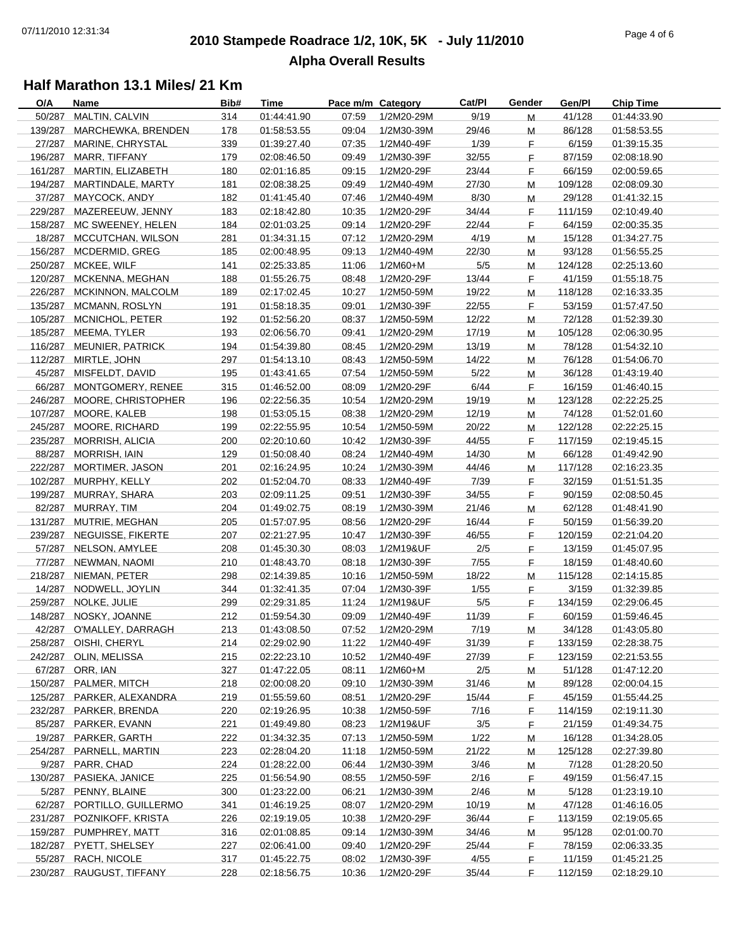## **2010 Stampede Roadrace 1/2, 10K, 5K - July 11/2010** 07/11/2010 12:31:34 Page 4 of 6 **Alpha Overall Results**

| O/A | Name                       | Bib# | Time        | Pace m/m Category |            | Cat/Pl | Gender | Gen/Pl  | <b>Chip Time</b> |
|-----|----------------------------|------|-------------|-------------------|------------|--------|--------|---------|------------------|
|     | 50/287 MALTIN, CALVIN      | 314  | 01:44:41.90 | 07:59             | 1/2M20-29M | 9/19   | M      | 41/128  | 01:44:33.90      |
|     | 139/287 MARCHEWKA, BRENDEN | 178  | 01:58:53.55 | 09:04             | 1/2M30-39M | 29/46  | M      | 86/128  | 01:58:53.55      |
|     | 27/287 MARINE, CHRYSTAL    | 339  | 01:39:27.40 | 07:35             | 1/2M40-49F | 1/39   | F.     | 6/159   | 01:39:15.35      |
|     | 196/287 MARR, TIFFANY      | 179  | 02:08:46.50 | 09:49             | 1/2M30-39F | 32/55  | F.     | 87/159  | 02:08:18.90      |
|     | 161/287 MARTIN, ELIZABETH  | 180  | 02:01:16.85 | 09:15             | 1/2M20-29F | 23/44  | F.     | 66/159  | 02:00:59.65      |
|     | 194/287 MARTINDALE, MARTY  | 181  | 02:08:38.25 | 09:49             | 1/2M40-49M | 27/30  |        | 109/128 | 02:08:09.30      |
|     |                            |      |             |                   |            |        | M      |         |                  |
|     | 37/287 MAYCOCK, ANDY       | 182  | 01:41:45.40 | 07:46             | 1/2M40-49M | 8/30   | M      | 29/128  | 01:41:32.15      |
|     | 229/287 MAZEREEUW, JENNY   | 183  | 02:18:42.80 | 10:35             | 1/2M20-29F | 34/44  | F.     | 111/159 | 02:10:49.40      |
|     | 158/287 MC SWEENEY, HELEN  | 184  | 02:01:03.25 | 09:14             | 1/2M20-29F | 22/44  | F.     | 64/159  | 02:00:35.35      |
|     | 18/287 MCCUTCHAN, WILSON   | 281  | 01:34:31.15 | 07:12             | 1/2M20-29M | 4/19   | М      | 15/128  | 01:34:27.75      |
|     | 156/287 MCDERMID, GREG     | 185  | 02:00:48.95 | 09:13             | 1/2M40-49M | 22/30  | М      | 93/128  | 01:56:55.25      |
|     | 250/287 MCKEE, WILF        | 141  | 02:25:33.85 | 11:06             | 1/2M60+M   | $5/5$  | м      | 124/128 | 02:25:13.60      |
|     | 120/287 MCKENNA, MEGHAN    | 188  | 01:55:26.75 | 08:48             | 1/2M20-29F | 13/44  | F.     | 41/159  | 01:55:18.75      |
|     | 226/287 MCKINNON, MALCOLM  | 189  | 02:17:02.45 | 10:27             | 1/2M50-59M | 19/22  | M      | 118/128 | 02:16:33.35      |
|     | 135/287 MCMANN, ROSLYN     | 191  | 01:58:18.35 | 09:01             | 1/2M30-39F | 22/55  | F.     | 53/159  | 01:57:47.50      |
|     |                            |      |             |                   |            |        |        |         |                  |
|     | 105/287 MCNICHOL, PETER    | 192  | 01:52:56.20 | 08:37             | 1/2M50-59M | 12/22  | M      | 72/128  | 01:52:39.30      |
|     | 185/287 MEEMA, TYLER       | 193  | 02:06:56.70 | 09:41             | 1/2M20-29M | 17/19  | M      | 105/128 | 02:06:30.95      |
|     | 116/287 MEUNIER, PATRICK   | 194  | 01:54:39.80 | 08:45             | 1/2M20-29M | 13/19  | M      | 78/128  | 01:54:32.10      |
|     | 112/287 MIRTLE, JOHN       | 297  | 01:54:13.10 | 08:43             | 1/2M50-59M | 14/22  | M      | 76/128  | 01:54:06.70      |
|     | 45/287 MISFELDT, DAVID     | 195  | 01:43:41.65 | 07:54             | 1/2M50-59M | 5/22   | M      | 36/128  | 01:43:19.40      |
|     | 66/287 MONTGOMERY, RENEE   | 315  | 01:46:52.00 | 08:09             | 1/2M20-29F | 6/44   | F.     | 16/159  | 01:46:40.15      |
|     | 246/287 MOORE, CHRISTOPHER | 196  | 02:22:56.35 | 10:54             | 1/2M20-29M | 19/19  | M      | 123/128 | 02:22:25.25      |
|     | 107/287 MOORE, KALEB       | 198  | 01:53:05.15 | 08:38             | 1/2M20-29M | 12/19  | M      | 74/128  | 01:52:01.60      |
|     | 245/287 MOORE, RICHARD     | 199  | 02:22:55.95 | 10:54             | 1/2M50-59M | 20/22  | м      | 122/128 | 02:22:25.15      |
|     | 235/287 MORRISH, ALICIA    | 200  | 02:20:10.60 | 10:42             | 1/2M30-39F | 44/55  | F      | 117/159 | 02:19:45.15      |
|     |                            |      |             |                   |            |        |        |         |                  |
|     | 88/287 MORRISH, IAIN       | 129  | 01:50:08.40 | 08:24             | 1/2M40-49M | 14/30  | М      | 66/128  | 01:49:42.90      |
|     | 222/287 MORTIMER, JASON    | 201  | 02:16:24.95 | 10:24             | 1/2M30-39M | 44/46  | М      | 117/128 | 02:16:23.35      |
|     | 102/287 MURPHY, KELLY      | 202  | 01:52:04.70 | 08:33             | 1/2M40-49F | 7/39   | F.     | 32/159  | 01:51:51.35      |
|     | 199/287 MURRAY, SHARA      | 203  | 02:09:11.25 | 09:51             | 1/2M30-39F | 34/55  | F.     | 90/159  | 02:08:50.45      |
|     | 82/287 MURRAY, TIM         | 204  | 01:49:02.75 | 08:19             | 1/2M30-39M | 21/46  | M      | 62/128  | 01:48:41.90      |
|     | 131/287 MUTRIE, MEGHAN     | 205  | 01:57:07.95 | 08:56             | 1/2M20-29F | 16/44  | F.     | 50/159  | 01:56:39.20      |
|     | 239/287 NEGUISSE, FIKERTE  | 207  | 02:21:27.95 | 10:47             | 1/2M30-39F | 46/55  | F.     | 120/159 | 02:21:04.20      |
|     | 57/287 NELSON, AMYLEE      | 208  | 01:45:30.30 | 08:03             | 1/2M19&UF  | 2/5    | F.     | 13/159  | 01:45:07.95      |
|     | 77/287 NEWMAN, NAOMI       | 210  | 01:48:43.70 | 08:18             | 1/2M30-39F | 7/55   | F.     | 18/159  | 01:48:40.60      |
|     |                            |      |             |                   | 1/2M50-59M | 18/22  |        | 115/128 |                  |
|     | 218/287 NIEMAN, PETER      | 298  | 02:14:39.85 | 10:16             |            |        | M      |         | 02:14:15.85      |
|     | 14/287 NODWELL, JOYLIN     | 344  | 01:32:41.35 | 07:04             | 1/2M30-39F | 1/55   | F.     | 3/159   | 01:32:39.85      |
|     | 259/287 NOLKE, JULIE       | 299  | 02:29:31.85 | 11:24             | 1/2M19&UF  | $5/5$  | F.     | 134/159 | 02:29:06.45      |
|     | 148/287 NOSKY, JOANNE      | 212  | 01:59:54.30 | 09:09             | 1/2M40-49F | 11/39  | F.     | 60/159  | 01:59:46.45      |
|     | 42/287 O'MALLEY, DARRAGH   | 213  | 01:43:08.50 | 07:52             | 1/2M20-29M | 7/19   | M      | 34/128  | 01:43:05.80      |
|     | 258/287 OISHI, CHERYL      | 214  | 02:29:02.90 | 11:22             | 1/2M40-49F | 31/39  | F      | 133/159 | 02:28:38.75      |
|     | 242/287 OLIN, MELISSA      | 215  | 02:22:23.10 | 10:52             | 1/2M40-49F | 27/39  | F.     | 123/159 | 02:21:53.55      |
|     | 67/287 ORR, IAN            | 327  | 01:47:22.05 | 08:11             | $1/2M60+M$ | 2/5    | M      | 51/128  | 01:47:12.20      |
|     | 150/287 PALMER, MITCH      | 218  | 02:00:08.20 | 09:10             | 1/2M30-39M | 31/46  | м      | 89/128  | 02:00:04.15      |
|     | 125/287 PARKER, ALEXANDRA  | 219  | 01:55:59.60 | 08:51             | 1/2M20-29F | 15/44  | F.     | 45/159  | 01:55:44.25      |
|     | 232/287 PARKER, BRENDA     | 220  |             |                   |            |        |        | 114/159 | 02:19:11.30      |
|     |                            |      | 02:19:26.95 | 10:38             | 1/2M50-59F | 7/16   | F      |         |                  |
|     | 85/287 PARKER, EVANN       | 221  | 01:49:49.80 | 08:23             | 1/2M19&UF  | 3/5    | F.     | 21/159  | 01:49:34.75      |
|     | 19/287 PARKER, GARTH       | 222  | 01:34:32.35 | 07:13             | 1/2M50-59M | 1/22   | M      | 16/128  | 01:34:28.05      |
|     | 254/287 PARNELL, MARTIN    | 223  | 02:28:04.20 | 11:18             | 1/2M50-59M | 21/22  | M      | 125/128 | 02:27:39.80      |
|     | 9/287 PARR, CHAD           | 224  | 01:28:22.00 | 06:44             | 1/2M30-39M | 3/46   | M      | 7/128   | 01:28:20.50      |
|     | 130/287 PASIEKA, JANICE    | 225  | 01:56:54.90 | 08:55             | 1/2M50-59F | 2/16   | F.     | 49/159  | 01:56:47.15      |
|     | 5/287 PENNY, BLAINE        | 300  | 01:23:22.00 | 06:21             | 1/2M30-39M | 2/46   | M      | 5/128   | 01:23:19.10      |
|     | 62/287 PORTILLO, GUILLERMO | 341  | 01:46:19.25 | 08:07             | 1/2M20-29M | 10/19  | M      | 47/128  | 01:46:16.05      |
|     | 231/287 POZNIKOFF, KRISTA  | 226  | 02:19:19.05 | 10:38             | 1/2M20-29F | 36/44  | F.     | 113/159 | 02:19:05.65      |
|     | 159/287 PUMPHREY, MATT     | 316  | 02:01:08.85 | 09:14             | 1/2M30-39M | 34/46  |        | 95/128  | 02:01:00.70      |
|     |                            |      |             |                   |            |        | M      |         |                  |
|     | 182/287 PYETT, SHELSEY     | 227  | 02:06:41.00 | 09:40             | 1/2M20-29F | 25/44  | F.     | 78/159  | 02:06:33.35      |
|     | 55/287 RACH, NICOLE        | 317  | 01:45:22.75 | 08:02             | 1/2M30-39F | 4/55   | F.     | 11/159  | 01:45:21.25      |
|     | 230/287 RAUGUST, TIFFANY   | 228  | 02:18:56.75 | 10:36             | 1/2M20-29F | 35/44  | F.     | 112/159 | 02:18:29.10      |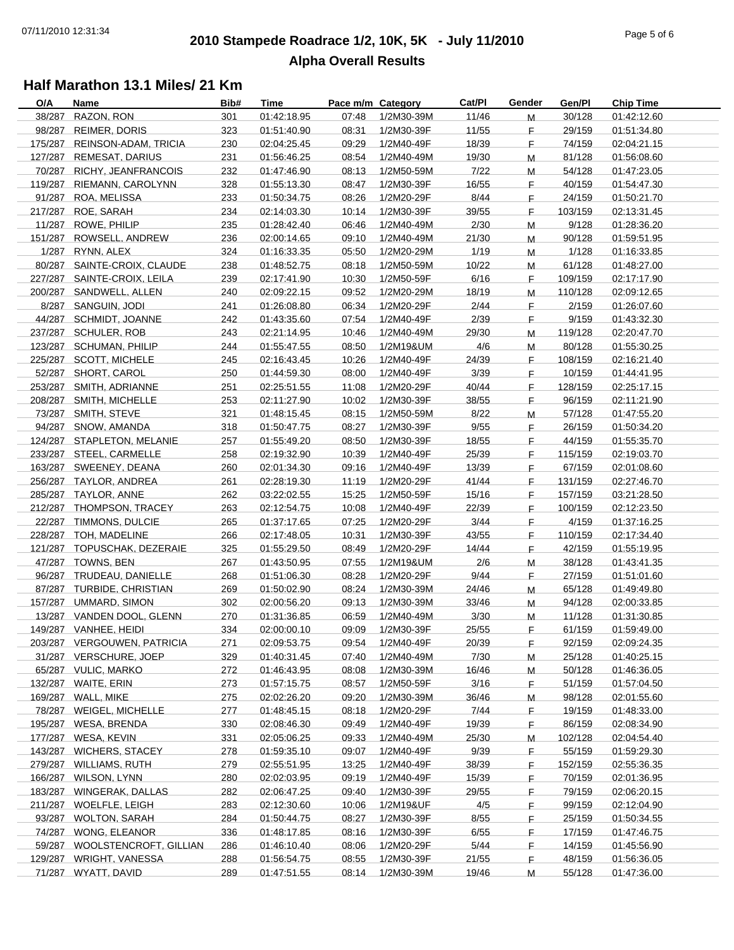## **2010 Stampede Roadrace 1/2, 10K, 5K - July 11/2010** 07/11/2010 12:31:34 Page 5 of 6 **Alpha Overall Results**

| O/A | Name                          | Bib# | <b>Time</b> | Pace m/m Category |            | Cat/Pl | Gender | Gen/Pl  | <b>Chip Time</b> |
|-----|-------------------------------|------|-------------|-------------------|------------|--------|--------|---------|------------------|
|     | 38/287 RAZON, RON             | 301  | 01:42:18.95 | 07:48             | 1/2M30-39M | 11/46  | M      | 30/128  | 01:42:12.60      |
|     | 98/287 REIMER, DORIS          | 323  | 01:51:40.90 | 08:31             | 1/2M30-39F | 11/55  | F.     | 29/159  | 01:51:34.80      |
|     | 175/287 REINSON-ADAM, TRICIA  | 230  | 02:04:25.45 | 09:29             | 1/2M40-49F | 18/39  | F.     | 74/159  | 02:04:21.15      |
|     | 127/287 REMESAT, DARIUS       | 231  | 01:56:46.25 | 08:54             | 1/2M40-49M | 19/30  | M      | 81/128  | 01:56:08.60      |
|     | 70/287 RICHY, JEANFRANCOIS    | 232  | 01:47:46.90 | 08:13             | 1/2M50-59M | 7/22   | M      | 54/128  | 01:47:23.05      |
|     | 119/287 RIEMANN, CAROLYNN     | 328  | 01:55:13.30 | 08:47             | 1/2M30-39F | 16/55  | F.     | 40/159  |                  |
|     |                               |      |             |                   |            |        |        |         | 01:54:47.30      |
|     | 91/287 ROA, MELISSA           | 233  | 01:50:34.75 | 08:26             | 1/2M20-29F | 8/44   | F.     | 24/159  | 01:50:21.70      |
|     | 217/287 ROE, SARAH            | 234  | 02:14:03.30 | 10:14             | 1/2M30-39F | 39/55  | F.     | 103/159 | 02:13:31.45      |
|     | 11/287 ROWE, PHILIP           | 235  | 01:28:42.40 | 06:46             | 1/2M40-49M | 2/30   | M      | 9/128   | 01:28:36.20      |
|     | 151/287 ROWSELL, ANDREW       | 236  | 02:00:14.65 | 09:10             | 1/2M40-49M | 21/30  | M      | 90/128  | 01:59:51.95      |
|     | 1/287 RYNN, ALEX              | 324  | 01:16:33.35 | 05:50             | 1/2M20-29M | 1/19   | M      | 1/128   | 01:16:33.85      |
|     | 80/287 SAINTE-CROIX, CLAUDE   | 238  | 01:48:52.75 | 08:18             | 1/2M50-59M | 10/22  | м      | 61/128  | 01:48:27.00      |
|     | 227/287 SAINTE-CROIX, LEILA   | 239  | 02:17:41.90 | 10:30             | 1/2M50-59F | 6/16   | F.     | 109/159 | 02:17:17.90      |
|     | 200/287 SANDWELL, ALLEN       | 240  | 02:09:22.15 | 09:52             | 1/2M20-29M | 18/19  | M      | 110/128 | 02:09:12.65      |
|     | 8/287 SANGUIN, JODI           | 241  | 01:26:08.80 | 06:34             | 1/2M20-29F | 2/44   | F.     | 2/159   | 01:26:07.60      |
|     | 44/287 SCHMIDT, JOANNE        | 242  | 01:43:35.60 | 07:54             | 1/2M40-49F | 2/39   | F.     | 9/159   | 01:43:32.30      |
|     |                               |      |             |                   |            |        |        |         |                  |
|     | 237/287 SCHULER, ROB          | 243  | 02:21:14.95 | 10:46             | 1/2M40-49M | 29/30  | M      | 119/128 | 02:20:47.70      |
|     | 123/287 SCHUMAN, PHILIP       | 244  | 01:55:47.55 | 08:50             | 1/2M19&UM  | 4/6    | M      | 80/128  | 01:55:30.25      |
|     | 225/287 SCOTT, MICHELE        | 245  | 02:16:43.45 | 10:26             | 1/2M40-49F | 24/39  | F.     | 108/159 | 02:16:21.40      |
|     | 52/287 SHORT, CAROL           | 250  | 01:44:59.30 | 08:00             | 1/2M40-49F | 3/39   | F.     | 10/159  | 01:44:41.95      |
|     | 253/287 SMITH, ADRIANNE       | 251  | 02:25:51.55 | 11:08             | 1/2M20-29F | 40/44  | F.     | 128/159 | 02:25:17.15      |
|     | 208/287 SMITH, MICHELLE       | 253  | 02:11:27.90 | 10:02             | 1/2M30-39F | 38/55  | F.     | 96/159  | 02:11:21.90      |
|     | 73/287 SMITH, STEVE           | 321  | 01:48:15.45 | 08:15             | 1/2M50-59M | 8/22   | M      | 57/128  | 01:47:55.20      |
|     | 94/287 SNOW, AMANDA           | 318  | 01:50:47.75 | 08:27             | 1/2M30-39F | 9/55   | F      | 26/159  | 01:50:34.20      |
|     | 124/287 STAPLETON, MELANIE    | 257  | 01:55:49.20 | 08:50             | 1/2M30-39F | 18/55  | F.     | 44/159  | 01:55:35.70      |
|     | 233/287 STEEL, CARMELLE       | 258  | 02:19:32.90 | 10:39             | 1/2M40-49F | 25/39  | F.     | 115/159 | 02:19:03.70      |
|     |                               |      |             |                   |            |        |        |         |                  |
|     | 163/287 SWEENEY, DEANA        | 260  | 02:01:34.30 | 09:16             | 1/2M40-49F | 13/39  | F.     | 67/159  | 02:01:08.60      |
|     | 256/287 TAYLOR, ANDREA        | 261  | 02:28:19.30 | 11:19             | 1/2M20-29F | 41/44  | F.     | 131/159 | 02:27:46.70      |
|     | 285/287 TAYLOR, ANNE          | 262  | 03:22:02.55 | 15:25             | 1/2M50-59F | 15/16  | F.     | 157/159 | 03:21:28.50      |
|     | 212/287 THOMPSON, TRACEY      | 263  | 02:12:54.75 | 10:08             | 1/2M40-49F | 22/39  | F.     | 100/159 | 02:12:23.50      |
|     | 22/287 TIMMONS, DULCIE        | 265  | 01:37:17.65 | 07:25             | 1/2M20-29F | 3/44   | F.     | 4/159   | 01:37:16.25      |
|     | 228/287 TOH, MADELINE         | 266  | 02:17:48.05 | 10:31             | 1/2M30-39F | 43/55  | F.     | 110/159 | 02:17:34.40      |
|     | 121/287 TOPUSCHAK, DEZERAIE   | 325  | 01:55:29.50 | 08:49             | 1/2M20-29F | 14/44  | F.     | 42/159  | 01:55:19.95      |
|     | 47/287 TOWNS, BEN             | 267  | 01:43:50.95 | 07:55             | 1/2M19&UM  | 2/6    | M      | 38/128  | 01:43:41.35      |
|     | 96/287 TRUDEAU, DANIELLE      | 268  | 01:51:06.30 | 08:28             | 1/2M20-29F | 9/44   | F.     | 27/159  | 01:51:01.60      |
|     | 87/287 TURBIDE, CHRISTIAN     | 269  | 01:50:02.90 | 08:24             | 1/2M30-39M | 24/46  | M      | 65/128  | 01:49:49.80      |
|     |                               |      | 02:00:56.20 |                   |            |        |        | 94/128  |                  |
|     | 157/287 UMMARD, SIMON         | 302  |             | 09:13             | 1/2M30-39M | 33/46  | M      |         | 02:00:33.85      |
|     | 13/287 VANDEN DOOL, GLENN     | 270  | 01:31:36.85 | 06:59             | 1/2M40-49M | 3/30   | M      | 11/128  | 01:31:30.85      |
|     | 149/287 VANHEE, HEIDI         | 334  | 02:00:00.10 | 09:09             | 1/2M30-39F | 25/55  | F.     | 61/159  | 01:59:49.00      |
|     | 203/287 VERGOUWEN, PATRICIA   | 271  | 02:09:53.75 | 09:54             | 1/2M40-49F | 20/39  | F      | 92/159  | 02:09:24.35      |
|     | 31/287 VERSCHURE, JOEP        | 329  | 01:40:31.45 | 07:40             | 1/2M40-49M | 7/30   | M      | 25/128  | 01:40:25.15      |
|     | 65/287 VULIC, MARKO           | 272  | 01:46:43.95 | 08:08             | 1/2M30-39M | 16/46  | M      | 50/128  | 01:46:36.05      |
|     | 132/287 WAITE, ERIN           | 273  | 01:57:15.75 | 08:57             | 1/2M50-59F | 3/16   | F.     | 51/159  | 01:57:04.50      |
|     | 169/287 WALL, MIKE            | 275  | 02:02:26.20 | 09:20             | 1/2M30-39M | 36/46  | M      | 98/128  | 02:01:55.60      |
|     | 78/287 WEIGEL, MICHELLE       | 277  | 01:48:45.15 | 08:18             | 1/2M20-29F | 7/44   | F.     | 19/159  | 01:48:33.00      |
|     | 195/287 WESA, BRENDA          | 330  | 02:08:46.30 | 09:49             | 1/2M40-49F | 19/39  | F.     | 86/159  | 02:08:34.90      |
|     | 177/287 WESA, KEVIN           | 331  | 02:05:06.25 | 09:33             | 1/2M40-49M | 25/30  |        | 102/128 | 02:04:54.40      |
|     |                               |      |             |                   |            |        | Μ      |         |                  |
|     | 143/287 WICHERS, STACEY       | 278  | 01:59:35.10 | 09:07             | 1/2M40-49F | 9/39   | F.     | 55/159  | 01:59:29.30      |
|     | 279/287 WILLIAMS, RUTH        | 279  | 02:55:51.95 | 13:25             | 1/2M40-49F | 38/39  | F.     | 152/159 | 02:55:36.35      |
|     | 166/287 WILSON, LYNN          | 280  | 02:02:03.95 | 09:19             | 1/2M40-49F | 15/39  | F.     | 70/159  | 02:01:36.95      |
|     | 183/287 WINGERAK, DALLAS      | 282  | 02:06:47.25 | 09:40             | 1/2M30-39F | 29/55  | F.     | 79/159  | 02:06:20.15      |
|     | 211/287 WOELFLE, LEIGH        | 283  | 02:12:30.60 | 10:06             | 1/2M19&UF  | 4/5    | F.     | 99/159  | 02:12:04.90      |
|     | 93/287 WOLTON, SARAH          | 284  | 01:50:44.75 | 08:27             | 1/2M30-39F | 8/55   | F      | 25/159  | 01:50:34.55      |
|     | 74/287 WONG, ELEANOR          | 336  | 01:48:17.85 | 08:16             | 1/2M30-39F | 6/55   | F      | 17/159  | 01:47:46.75      |
|     | 59/287 WOOLSTENCROFT, GILLIAN | 286  | 01:46:10.40 | 08:06             | 1/2M20-29F | 5/44   | F.     | 14/159  | 01:45:56.90      |
|     | 129/287 WRIGHT, VANESSA       | 288  | 01:56:54.75 | 08:55             | 1/2M30-39F | 21/55  | F.     | 48/159  | 01:56:36.05      |
|     | 71/287 WYATT, DAVID           |      | 01:47:51.55 |                   |            | 19/46  |        | 55/128  | 01:47:36.00      |
|     |                               | 289  |             | 08:14             | 1/2M30-39M |        | M      |         |                  |